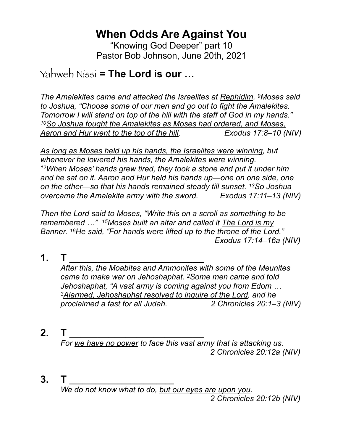# **When Odds Are Against You**

"Knowing God Deeper" part 10 Pastor Bob Johnson, June 20th, 2021

## Yahweh Nissi **= The Lord is our …**

*The Amalekites came and attacked the Israelites at Rephidim. 9Moses said to Joshua, "Choose some of our men and go out to fight the Amalekites. Tomorrow I will stand on top of the hill with the staff of God in my hands." 10So Joshua fought the Amalekites as Moses had ordered, and Moses, Aaron and Hur went to the top of the hill. Exodus 17:8–10 (NIV)*

*As long as Moses held up his hands, the Israelites were winning, but whenever he lowered his hands, the Amalekites were winning. 12When Moses' hands grew tired, they took a stone and put it under him and he sat on it. Aaron and Hur held his hands up—one on one side, one on the other—so that his hands remained steady till sunset. 13So Joshua overcame the Amalekite army with the sword. Exodus 17:11–13 (NIV)*

*Then the Lord said to Moses, "Write this on a scroll as something to be remembered …" 15Moses built an altar and called it The Lord is my Banner. 16He said, "For hands were lifted up to the throne of the Lord." Exodus 17:14–16a (NIV)*

**1. T \_\_\_\_\_\_\_\_\_\_\_\_\_\_\_\_\_\_\_\_\_\_\_\_**

*After this, the Moabites and Ammonites with some of the Meunites came to make war on Jehoshaphat. 2Some men came and told Jehoshaphat, "A vast army is coming against you from Edom … 3Alarmed, Jehoshaphat resolved to inquire of the Lord, and he proclaimed a fast for all Judah. 2 Chronicles 20:1–3 (NIV)*

**2. T \_\_\_\_\_\_\_\_\_\_\_\_\_\_\_\_\_\_\_\_\_\_\_\_**

*For we have no power to face this vast army that is attacking us. 2 Chronicles 20:12a (NIV)*

**3. T \_\_\_\_\_\_\_\_\_\_\_\_\_\_\_\_\_\_\_\_\_\_\_\_**

*We do not know what to do, but our eyes are upon you. 2 Chronicles 20:12b (NIV)*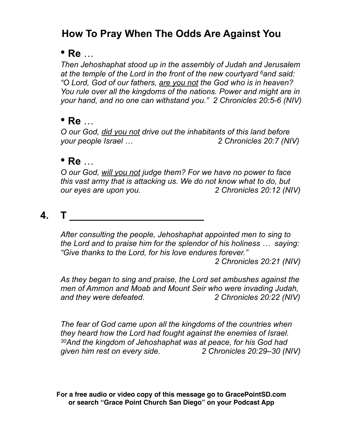## **How To Pray When The Odds Are Against You**

#### • **Re** …

*Then Jehoshaphat stood up in the assembly of Judah and Jerusalem at the temple of the Lord in the front of the new courtyard 6and said: "O Lord, God of our fathers, are you not the God who is in heaven? You rule over all the kingdoms of the nations. Power and might are in your hand, and no one can withstand you." 2 Chronicles 20:5-6 (NIV)*

#### • **Re** …

*O our God, did you not drive out the inhabitants of this land before your people Israel … 2 Chronicles 20:7 (NIV)*

#### • **Re** …

*O our God, will you not judge them? For we have no power to face this vast army that is attacking us. We do not know what to do, but our eyes are upon you. 2 Chronicles 20:12 (NIV)*

#### **4. T \_\_\_\_\_\_\_\_\_\_\_\_\_\_\_\_\_\_\_\_\_\_\_\_**

*After consulting the people, Jehoshaphat appointed men to sing to the Lord and to praise him for the splendor of his holiness … saying: "Give thanks to the Lord, for his love endures forever."*

 *2 Chronicles 20:21 (NIV)*

*As they began to sing and praise, the Lord set ambushes against the men of Ammon and Moab and Mount Seir who were invading Judah, and they were defeated. 2 Chronicles 20:22 (NIV)*

*The fear of God came upon all the kingdoms of the countries when they heard how the Lord had fought against the enemies of Israel. 30And the kingdom of Jehoshaphat was at peace, for his God had given him rest on every side. 2 Chronicles 20:29–30 (NIV)*

**For a free audio or video copy of this message go to GracePointSD.com or search "Grace Point Church San Diego" on your Podcast App**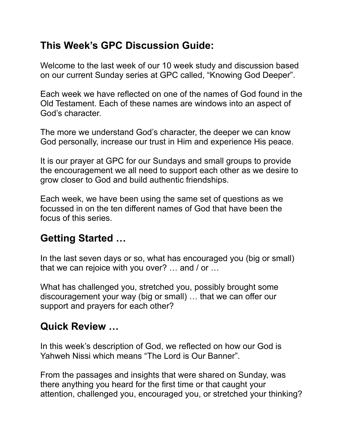### **This Week's GPC Discussion Guide:**

Welcome to the last week of our 10 week study and discussion based on our current Sunday series at GPC called, "Knowing God Deeper".

Each week we have reflected on one of the names of God found in the Old Testament. Each of these names are windows into an aspect of God's character.

The more we understand God's character, the deeper we can know God personally, increase our trust in Him and experience His peace.

It is our prayer at GPC for our Sundays and small groups to provide the encouragement we all need to support each other as we desire to grow closer to God and build authentic friendships.

Each week, we have been using the same set of questions as we focussed in on the ten different names of God that have been the focus of this series.

## **Getting Started …**

In the last seven days or so, what has encouraged you (big or small) that we can rejoice with you over? … and / or …

What has challenged you, stretched you, possibly brought some discouragement your way (big or small) … that we can offer our support and prayers for each other?

### **Quick Review …**

In this week's description of God, we reflected on how our God is Yahweh Nissi which means "The Lord is Our Banner".

From the passages and insights that were shared on Sunday, was there anything you heard for the first time or that caught your attention, challenged you, encouraged you, or stretched your thinking?